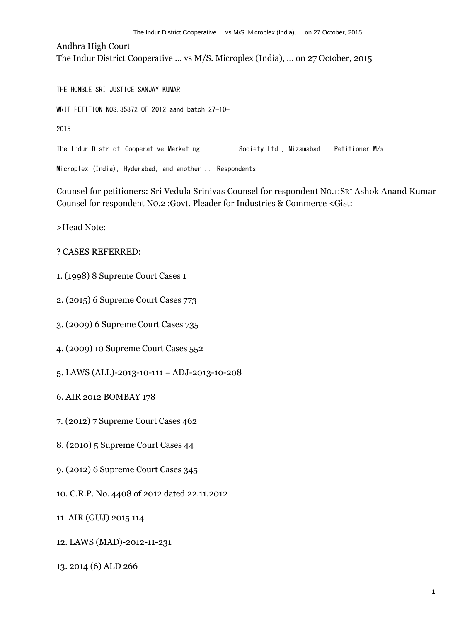Andhra High Court

The Indur District Cooperative ... vs M/S. Microplex (India), ... on 27 October, 2015

THE HONBLE SRI JUSTICE SANJAY KUMAR

WRIT PETITION NOS.35872 OF 2012 aand batch 27-10-

2015

The Indur District Cooperative Marketing Society Ltd., Nizamabad... Petitioner M/s.

Microplex (India), Hyderabad, and another .. Respondents

Counsel for petitioners: Sri Vedula Srinivas Counsel for respondent NO.1:SRI Ashok Anand Kumar Counsel for respondent NO.2 :Govt. Pleader for Industries & Commerce <Gist:

>Head Note:

## ? CASES REFERRED:

- 1. (1998) 8 Supreme Court Cases 1
- 2. (2015) 6 Supreme Court Cases 773
- 3. (2009) 6 Supreme Court Cases 735
- 4. (2009) 10 Supreme Court Cases 552
- 5. LAWS (ALL)-2013-10-111 = ADJ-2013-10-208
- 6. AIR 2012 BOMBAY 178
- 7. (2012) 7 Supreme Court Cases 462
- 8. (2010) 5 Supreme Court Cases 44
- 9. (2012) 6 Supreme Court Cases 345
- 10. C.R.P. No. 4408 of 2012 dated 22.11.2012
- 11. AIR (GUJ) 2015 114
- 12. LAWS (MAD)-2012-11-231
- 13. 2014 (6) ALD 266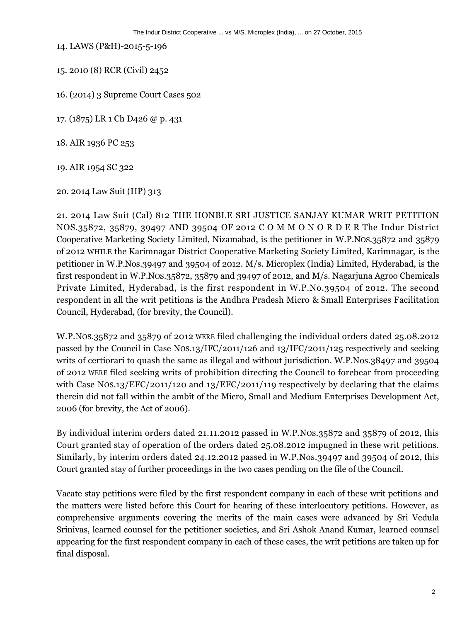14. LAWS (P&H)-2015-5-196

15. 2010 (8) RCR (Civil) 2452

16. (2014) 3 Supreme Court Cases 502

17. (1875) LR 1 Ch D426 @ p. 431

18. AIR 1936 PC 253

19. AIR 1954 SC 322

20. 2014 Law Suit (HP) 313

21. 2014 Law Suit (Cal) 812 THE HONBLE SRI JUSTICE SANJAY KUMAR WRIT PETITION NOS.35872, 35879, 39497 AND 39504 OF 2012 C O M M O N O R D E R The Indur District Cooperative Marketing Society Limited, Nizamabad, is the petitioner in W.P.NOS.35872 and 35879 of 2012 WHILE the Karimnagar District Cooperative Marketing Society Limited, Karimnagar, is the petitioner in W.P.Nos.39497 and 39504 of 2012. M/s. Microplex (India) Limited, Hyderabad, is the first respondent in W.P.NOS.35872, 35879 and 39497 of 2012, and M/s. Nagarjuna Agroo Chemicals Private Limited, Hyderabad, is the first respondent in W.P.No.39504 of 2012. The second respondent in all the writ petitions is the Andhra Pradesh Micro & Small Enterprises Facilitation Council, Hyderabad, (for brevity, the Council).

W.P.NOS.35872 and 35879 of 2012 WERE filed challenging the individual orders dated 25.08.2012 passed by the Council in Case NOS.13/IFC/2011/126 and 13/IFC/2011/125 respectively and seeking writs of certiorari to quash the same as illegal and without jurisdiction. W.P.Nos.38497 and 39504 of 2012 WERE filed seeking writs of prohibition directing the Council to forebear from proceeding with Case NOS.13/EFC/2011/120 and 13/EFC/2011/119 respectively by declaring that the claims therein did not fall within the ambit of the Micro, Small and Medium Enterprises Development Act, 2006 (for brevity, the Act of 2006).

By individual interim orders dated 21.11.2012 passed in W.P.NOS.35872 and 35879 of 2012, this Court granted stay of operation of the orders dated 25.08.2012 impugned in these writ petitions. Similarly, by interim orders dated 24.12.2012 passed in W.P.Nos.39497 and 39504 of 2012, this Court granted stay of further proceedings in the two cases pending on the file of the Council.

Vacate stay petitions were filed by the first respondent company in each of these writ petitions and the matters were listed before this Court for hearing of these interlocutory petitions. However, as comprehensive arguments covering the merits of the main cases were advanced by Sri Vedula Srinivas, learned counsel for the petitioner societies, and Sri Ashok Anand Kumar, learned counsel appearing for the first respondent company in each of these cases, the writ petitions are taken up for final disposal.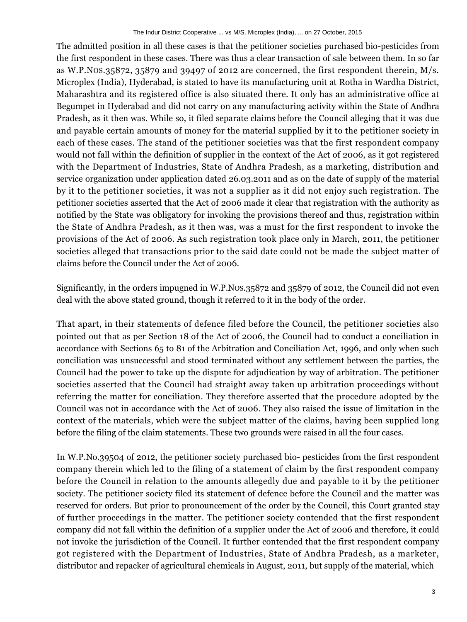The admitted position in all these cases is that the petitioner societies purchased bio-pesticides from the first respondent in these cases. There was thus a clear transaction of sale between them. In so far as W.P.NOS.35872, 35879 and 39497 of 2012 are concerned, the first respondent therein, M/s. Microplex (India), Hyderabad, is stated to have its manufacturing unit at Rotha in Wardha District, Maharashtra and its registered office is also situated there. It only has an administrative office at Begumpet in Hyderabad and did not carry on any manufacturing activity within the State of Andhra Pradesh, as it then was. While so, it filed separate claims before the Council alleging that it was due and payable certain amounts of money for the material supplied by it to the petitioner society in each of these cases. The stand of the petitioner societies was that the first respondent company would not fall within the definition of supplier in the context of the Act of 2006, as it got registered with the Department of Industries, State of Andhra Pradesh, as a marketing, distribution and service organization under application dated 26.03.2011 and as on the date of supply of the material by it to the petitioner societies, it was not a supplier as it did not enjoy such registration. The petitioner societies asserted that the Act of 2006 made it clear that registration with the authority as notified by the State was obligatory for invoking the provisions thereof and thus, registration within the State of Andhra Pradesh, as it then was, was a must for the first respondent to invoke the provisions of the Act of 2006. As such registration took place only in March, 2011, the petitioner societies alleged that transactions prior to the said date could not be made the subject matter of claims before the Council under the Act of 2006.

Significantly, in the orders impugned in W.P.NOS.35872 and 35879 of 2012, the Council did not even deal with the above stated ground, though it referred to it in the body of the order.

That apart, in their statements of defence filed before the Council, the petitioner societies also pointed out that as per Section 18 of the Act of 2006, the Council had to conduct a conciliation in accordance with Sections 65 to 81 of the Arbitration and Conciliation Act, 1996, and only when such conciliation was unsuccessful and stood terminated without any settlement between the parties, the Council had the power to take up the dispute for adjudication by way of arbitration. The petitioner societies asserted that the Council had straight away taken up arbitration proceedings without referring the matter for conciliation. They therefore asserted that the procedure adopted by the Council was not in accordance with the Act of 2006. They also raised the issue of limitation in the context of the materials, which were the subject matter of the claims, having been supplied long before the filing of the claim statements. These two grounds were raised in all the four cases.

In W.P.No.39504 of 2012, the petitioner society purchased bio- pesticides from the first respondent company therein which led to the filing of a statement of claim by the first respondent company before the Council in relation to the amounts allegedly due and payable to it by the petitioner society. The petitioner society filed its statement of defence before the Council and the matter was reserved for orders. But prior to pronouncement of the order by the Council, this Court granted stay of further proceedings in the matter. The petitioner society contended that the first respondent company did not fall within the definition of a supplier under the Act of 2006 and therefore, it could not invoke the jurisdiction of the Council. It further contended that the first respondent company got registered with the Department of Industries, State of Andhra Pradesh, as a marketer, distributor and repacker of agricultural chemicals in August, 2011, but supply of the material, which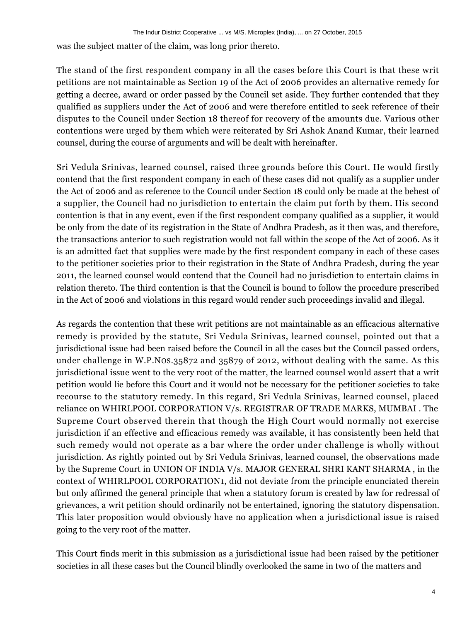was the subject matter of the claim, was long prior thereto.

The stand of the first respondent company in all the cases before this Court is that these writ petitions are not maintainable as Section 19 of the Act of 2006 provides an alternative remedy for getting a decree, award or order passed by the Council set aside. They further contended that they qualified as suppliers under the Act of 2006 and were therefore entitled to seek reference of their disputes to the Council under Section 18 thereof for recovery of the amounts due. Various other contentions were urged by them which were reiterated by Sri Ashok Anand Kumar, their learned counsel, during the course of arguments and will be dealt with hereinafter.

Sri Vedula Srinivas, learned counsel, raised three grounds before this Court. He would firstly contend that the first respondent company in each of these cases did not qualify as a supplier under the Act of 2006 and as reference to the Council under Section 18 could only be made at the behest of a supplier, the Council had no jurisdiction to entertain the claim put forth by them. His second contention is that in any event, even if the first respondent company qualified as a supplier, it would be only from the date of its registration in the State of Andhra Pradesh, as it then was, and therefore, the transactions anterior to such registration would not fall within the scope of the Act of 2006. As it is an admitted fact that supplies were made by the first respondent company in each of these cases to the petitioner societies prior to their registration in the State of Andhra Pradesh, during the year 2011, the learned counsel would contend that the Council had no jurisdiction to entertain claims in relation thereto. The third contention is that the Council is bound to follow the procedure prescribed in the Act of 2006 and violations in this regard would render such proceedings invalid and illegal.

As regards the contention that these writ petitions are not maintainable as an efficacious alternative remedy is provided by the statute, Sri Vedula Srinivas, learned counsel, pointed out that a jurisdictional issue had been raised before the Council in all the cases but the Council passed orders, under challenge in W.P.NOS.35872 and 35879 of 2012, without dealing with the same. As this jurisdictional issue went to the very root of the matter, the learned counsel would assert that a writ petition would lie before this Court and it would not be necessary for the petitioner societies to take recourse to the statutory remedy. In this regard, Sri Vedula Srinivas, learned counsel, placed reliance on WHIRLPOOL CORPORATION V/s. REGISTRAR OF TRADE MARKS, MUMBAI . The Supreme Court observed therein that though the High Court would normally not exercise jurisdiction if an effective and efficacious remedy was available, it has consistently been held that such remedy would not operate as a bar where the order under challenge is wholly without jurisdiction. As rightly pointed out by Sri Vedula Srinivas, learned counsel, the observations made by the Supreme Court in UNION OF INDIA V/s. MAJOR GENERAL SHRI KANT SHARMA , in the context of WHIRLPOOL CORPORATION1, did not deviate from the principle enunciated therein but only affirmed the general principle that when a statutory forum is created by law for redressal of grievances, a writ petition should ordinarily not be entertained, ignoring the statutory dispensation. This later proposition would obviously have no application when a jurisdictional issue is raised going to the very root of the matter.

This Court finds merit in this submission as a jurisdictional issue had been raised by the petitioner societies in all these cases but the Council blindly overlooked the same in two of the matters and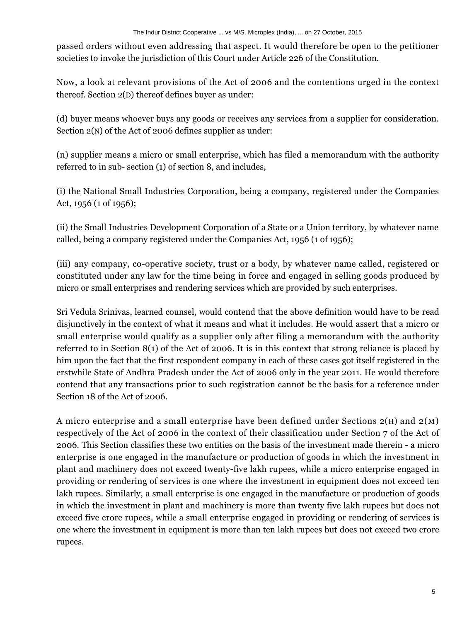passed orders without even addressing that aspect. It would therefore be open to the petitioner societies to invoke the jurisdiction of this Court under Article 226 of the Constitution.

Now, a look at relevant provisions of the Act of 2006 and the contentions urged in the context thereof. Section 2(D) thereof defines buyer as under:

(d) buyer means whoever buys any goods or receives any services from a supplier for consideration. Section 2(N) of the Act of 2006 defines supplier as under:

(n) supplier means a micro or small enterprise, which has filed a memorandum with the authority referred to in sub- section (1) of section 8, and includes,

(i) the National Small Industries Corporation, being a company, registered under the Companies Act, 1956 (1 of 1956);

(ii) the Small Industries Development Corporation of a State or a Union territory, by whatever name called, being a company registered under the Companies Act, 1956 (1 of 1956);

(iii) any company, co-operative society, trust or a body, by whatever name called, registered or constituted under any law for the time being in force and engaged in selling goods produced by micro or small enterprises and rendering services which are provided by such enterprises.

Sri Vedula Srinivas, learned counsel, would contend that the above definition would have to be read disjunctively in the context of what it means and what it includes. He would assert that a micro or small enterprise would qualify as a supplier only after filing a memorandum with the authority referred to in Section 8(1) of the Act of 2006. It is in this context that strong reliance is placed by him upon the fact that the first respondent company in each of these cases got itself registered in the erstwhile State of Andhra Pradesh under the Act of 2006 only in the year 2011. He would therefore contend that any transactions prior to such registration cannot be the basis for a reference under Section 18 of the Act of 2006.

A micro enterprise and a small enterprise have been defined under Sections  $2(H)$  and  $2(M)$ respectively of the Act of 2006 in the context of their classification under Section 7 of the Act of 2006. This Section classifies these two entities on the basis of the investment made therein - a micro enterprise is one engaged in the manufacture or production of goods in which the investment in plant and machinery does not exceed twenty-five lakh rupees, while a micro enterprise engaged in providing or rendering of services is one where the investment in equipment does not exceed ten lakh rupees. Similarly, a small enterprise is one engaged in the manufacture or production of goods in which the investment in plant and machinery is more than twenty five lakh rupees but does not exceed five crore rupees, while a small enterprise engaged in providing or rendering of services is one where the investment in equipment is more than ten lakh rupees but does not exceed two crore rupees.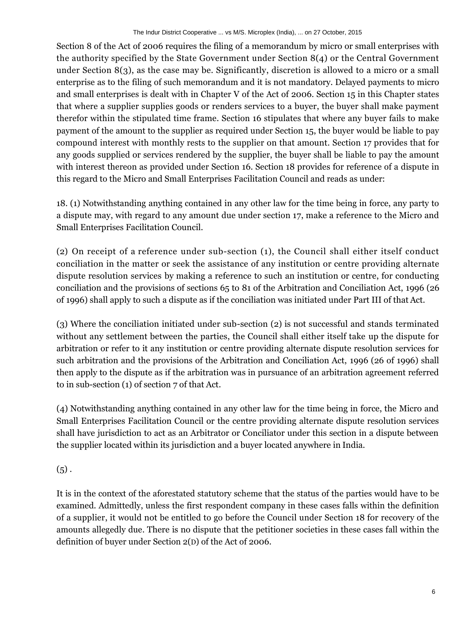Section 8 of the Act of 2006 requires the filing of a memorandum by micro or small enterprises with the authority specified by the State Government under Section 8(4) or the Central Government under Section 8(3), as the case may be. Significantly, discretion is allowed to a micro or a small enterprise as to the filing of such memorandum and it is not mandatory. Delayed payments to micro and small enterprises is dealt with in Chapter V of the Act of 2006. Section 15 in this Chapter states that where a supplier supplies goods or renders services to a buyer, the buyer shall make payment therefor within the stipulated time frame. Section 16 stipulates that where any buyer fails to make payment of the amount to the supplier as required under Section 15, the buyer would be liable to pay compound interest with monthly rests to the supplier on that amount. Section 17 provides that for any goods supplied or services rendered by the supplier, the buyer shall be liable to pay the amount with interest thereon as provided under Section 16. Section 18 provides for reference of a dispute in this regard to the Micro and Small Enterprises Facilitation Council and reads as under:

18. (1) Notwithstanding anything contained in any other law for the time being in force, any party to a dispute may, with regard to any amount due under section 17, make a reference to the Micro and Small Enterprises Facilitation Council.

(2) On receipt of a reference under sub-section (1), the Council shall either itself conduct conciliation in the matter or seek the assistance of any institution or centre providing alternate dispute resolution services by making a reference to such an institution or centre, for conducting conciliation and the provisions of sections 65 to 81 of the Arbitration and Conciliation Act, 1996 (26 of 1996) shall apply to such a dispute as if the conciliation was initiated under Part III of that Act.

(3) Where the conciliation initiated under sub-section (2) is not successful and stands terminated without any settlement between the parties, the Council shall either itself take up the dispute for arbitration or refer to it any institution or centre providing alternate dispute resolution services for such arbitration and the provisions of the Arbitration and Conciliation Act, 1996 (26 of 1996) shall then apply to the dispute as if the arbitration was in pursuance of an arbitration agreement referred to in sub-section (1) of section 7 of that Act.

(4) Notwithstanding anything contained in any other law for the time being in force, the Micro and Small Enterprises Facilitation Council or the centre providing alternate dispute resolution services shall have jurisdiction to act as an Arbitrator or Conciliator under this section in a dispute between the supplier located within its jurisdiction and a buyer located anywhere in India.

 $(5)$ .

It is in the context of the aforestated statutory scheme that the status of the parties would have to be examined. Admittedly, unless the first respondent company in these cases falls within the definition of a supplier, it would not be entitled to go before the Council under Section 18 for recovery of the amounts allegedly due. There is no dispute that the petitioner societies in these cases fall within the definition of buyer under Section 2(D) of the Act of 2006.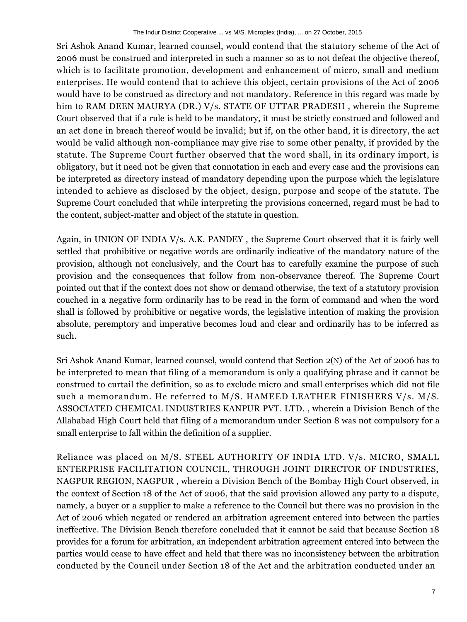Sri Ashok Anand Kumar, learned counsel, would contend that the statutory scheme of the Act of 2006 must be construed and interpreted in such a manner so as to not defeat the objective thereof, which is to facilitate promotion, development and enhancement of micro, small and medium enterprises. He would contend that to achieve this object, certain provisions of the Act of 2006 would have to be construed as directory and not mandatory. Reference in this regard was made by him to RAM DEEN MAURYA (DR.) V/s. STATE OF UTTAR PRADESH , wherein the Supreme Court observed that if a rule is held to be mandatory, it must be strictly construed and followed and an act done in breach thereof would be invalid; but if, on the other hand, it is directory, the act would be valid although non-compliance may give rise to some other penalty, if provided by the statute. The Supreme Court further observed that the word shall, in its ordinary import, is obligatory, but it need not be given that connotation in each and every case and the provisions can be interpreted as directory instead of mandatory depending upon the purpose which the legislature intended to achieve as disclosed by the object, design, purpose and scope of the statute. The Supreme Court concluded that while interpreting the provisions concerned, regard must be had to the content, subject-matter and object of the statute in question.

Again, in UNION OF INDIA V/s. A.K. PANDEY , the Supreme Court observed that it is fairly well settled that prohibitive or negative words are ordinarily indicative of the mandatory nature of the provision, although not conclusively, and the Court has to carefully examine the purpose of such provision and the consequences that follow from non-observance thereof. The Supreme Court pointed out that if the context does not show or demand otherwise, the text of a statutory provision couched in a negative form ordinarily has to be read in the form of command and when the word shall is followed by prohibitive or negative words, the legislative intention of making the provision absolute, peremptory and imperative becomes loud and clear and ordinarily has to be inferred as such.

Sri Ashok Anand Kumar, learned counsel, would contend that Section 2(N) of the Act of 2006 has to be interpreted to mean that filing of a memorandum is only a qualifying phrase and it cannot be construed to curtail the definition, so as to exclude micro and small enterprises which did not file such a memorandum. He referred to M/S. HAMEED LEATHER FINISHERS V/s. M/S. ASSOCIATED CHEMICAL INDUSTRIES KANPUR PVT. LTD. , wherein a Division Bench of the Allahabad High Court held that filing of a memorandum under Section 8 was not compulsory for a small enterprise to fall within the definition of a supplier.

Reliance was placed on M/S. STEEL AUTHORITY OF INDIA LTD. V/s. MICRO, SMALL ENTERPRISE FACILITATION COUNCIL, THROUGH JOINT DIRECTOR OF INDUSTRIES, NAGPUR REGION, NAGPUR , wherein a Division Bench of the Bombay High Court observed, in the context of Section 18 of the Act of 2006, that the said provision allowed any party to a dispute, namely, a buyer or a supplier to make a reference to the Council but there was no provision in the Act of 2006 which negated or rendered an arbitration agreement entered into between the parties ineffective. The Division Bench therefore concluded that it cannot be said that because Section 18 provides for a forum for arbitration, an independent arbitration agreement entered into between the parties would cease to have effect and held that there was no inconsistency between the arbitration conducted by the Council under Section 18 of the Act and the arbitration conducted under an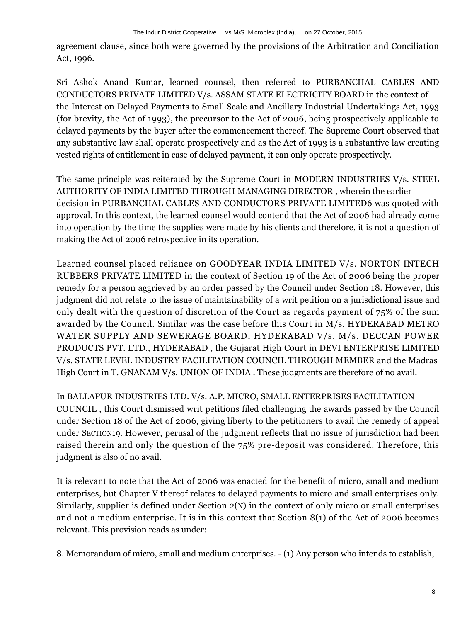agreement clause, since both were governed by the provisions of the Arbitration and Conciliation Act, 1996.

Sri Ashok Anand Kumar, learned counsel, then referred to PURBANCHAL CABLES AND CONDUCTORS PRIVATE LIMITED V/s. ASSAM STATE ELECTRICITY BOARD in the context of the Interest on Delayed Payments to Small Scale and Ancillary Industrial Undertakings Act, 1993 (for brevity, the Act of 1993), the precursor to the Act of 2006, being prospectively applicable to delayed payments by the buyer after the commencement thereof. The Supreme Court observed that any substantive law shall operate prospectively and as the Act of 1993 is a substantive law creating vested rights of entitlement in case of delayed payment, it can only operate prospectively.

The same principle was reiterated by the Supreme Court in MODERN INDUSTRIES V/s. STEEL AUTHORITY OF INDIA LIMITED THROUGH MANAGING DIRECTOR , wherein the earlier decision in PURBANCHAL CABLES AND CONDUCTORS PRIVATE LIMITED6 was quoted with approval. In this context, the learned counsel would contend that the Act of 2006 had already come into operation by the time the supplies were made by his clients and therefore, it is not a question of making the Act of 2006 retrospective in its operation.

Learned counsel placed reliance on GOODYEAR INDIA LIMITED V/s. NORTON INTECH RUBBERS PRIVATE LIMITED in the context of Section 19 of the Act of 2006 being the proper remedy for a person aggrieved by an order passed by the Council under Section 18. However, this judgment did not relate to the issue of maintainability of a writ petition on a jurisdictional issue and only dealt with the question of discretion of the Court as regards payment of 75% of the sum awarded by the Council. Similar was the case before this Court in M/s. HYDERABAD METRO WATER SUPPLY AND SEWERAGE BOARD, HYDERABAD V/s. M/s. DECCAN POWER PRODUCTS PVT. LTD., HYDERABAD , the Gujarat High Court in DEVI ENTERPRISE LIMITED V/s. STATE LEVEL INDUSTRY FACILITATION COUNCIL THROUGH MEMBER and the Madras High Court in T. GNANAM V/s. UNION OF INDIA. These judgments are therefore of no avail.

In BALLAPUR INDUSTRIES LTD. V/s. A.P. MICRO, SMALL ENTERPRISES FACILITATION COUNCIL , this Court dismissed writ petitions filed challenging the awards passed by the Council under Section 18 of the Act of 2006, giving liberty to the petitioners to avail the remedy of appeal under SECTION19. However, perusal of the judgment reflects that no issue of jurisdiction had been raised therein and only the question of the 75% pre-deposit was considered. Therefore, this judgment is also of no avail.

It is relevant to note that the Act of 2006 was enacted for the benefit of micro, small and medium enterprises, but Chapter V thereof relates to delayed payments to micro and small enterprises only. Similarly, supplier is defined under Section 2(N) in the context of only micro or small enterprises and not a medium enterprise. It is in this context that Section 8(1) of the Act of 2006 becomes relevant. This provision reads as under:

8. Memorandum of micro, small and medium enterprises. - (1) Any person who intends to establish,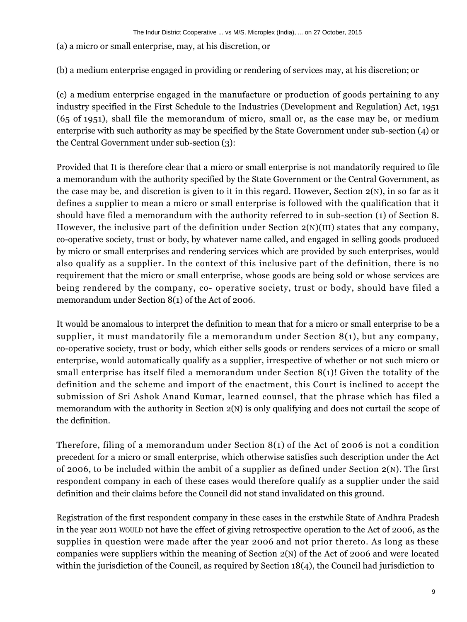(a) a micro or small enterprise, may, at his discretion, or

(b) a medium enterprise engaged in providing or rendering of services may, at his discretion; or

(c) a medium enterprise engaged in the manufacture or production of goods pertaining to any industry specified in the First Schedule to the Industries (Development and Regulation) Act, 1951 (65 of 1951), shall file the memorandum of micro, small or, as the case may be, or medium enterprise with such authority as may be specified by the State Government under sub-section (4) or the Central Government under sub-section (3):

Provided that It is therefore clear that a micro or small enterprise is not mandatorily required to file a memorandum with the authority specified by the State Government or the Central Government, as the case may be, and discretion is given to it in this regard. However, Section  $2(N)$ , in so far as it defines a supplier to mean a micro or small enterprise is followed with the qualification that it should have filed a memorandum with the authority referred to in sub-section (1) of Section 8. However, the inclusive part of the definition under Section 2(N)(III) states that any company, co-operative society, trust or body, by whatever name called, and engaged in selling goods produced by micro or small enterprises and rendering services which are provided by such enterprises, would also qualify as a supplier. In the context of this inclusive part of the definition, there is no requirement that the micro or small enterprise, whose goods are being sold or whose services are being rendered by the company, co- operative society, trust or body, should have filed a memorandum under Section 8(1) of the Act of 2006.

It would be anomalous to interpret the definition to mean that for a micro or small enterprise to be a supplier, it must mandatorily file a memorandum under Section 8(1), but any company, co-operative society, trust or body, which either sells goods or renders services of a micro or small enterprise, would automatically qualify as a supplier, irrespective of whether or not such micro or small enterprise has itself filed a memorandum under Section 8(1)! Given the totality of the definition and the scheme and import of the enactment, this Court is inclined to accept the submission of Sri Ashok Anand Kumar, learned counsel, that the phrase which has filed a memorandum with the authority in Section 2(N) is only qualifying and does not curtail the scope of the definition.

Therefore, filing of a memorandum under Section 8(1) of the Act of 2006 is not a condition precedent for a micro or small enterprise, which otherwise satisfies such description under the Act of 2006, to be included within the ambit of a supplier as defined under Section  $2(N)$ . The first respondent company in each of these cases would therefore qualify as a supplier under the said definition and their claims before the Council did not stand invalidated on this ground.

Registration of the first respondent company in these cases in the erstwhile State of Andhra Pradesh in the year 2011 WOULD not have the effect of giving retrospective operation to the Act of 2006, as the supplies in question were made after the year 2006 and not prior thereto. As long as these companies were suppliers within the meaning of Section 2(N) of the Act of 2006 and were located within the jurisdiction of the Council, as required by Section  $18(4)$ , the Council had jurisdiction to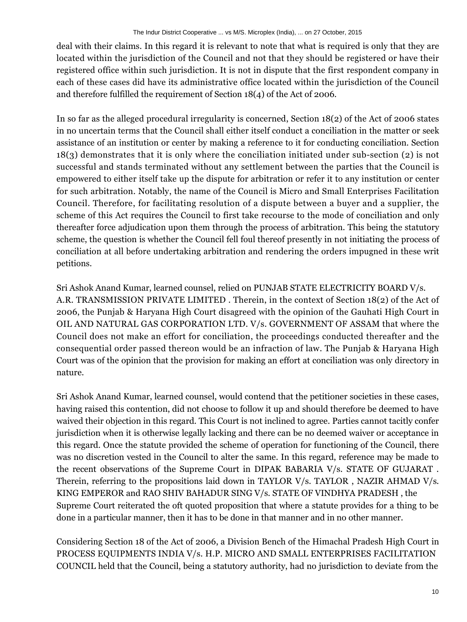deal with their claims. In this regard it is relevant to note that what is required is only that they are located within the jurisdiction of the Council and not that they should be registered or have their registered office within such jurisdiction. It is not in dispute that the first respondent company in each of these cases did have its administrative office located within the jurisdiction of the Council and therefore fulfilled the requirement of Section 18(4) of the Act of 2006.

In so far as the alleged procedural irregularity is concerned, Section 18(2) of the Act of 2006 states in no uncertain terms that the Council shall either itself conduct a conciliation in the matter or seek assistance of an institution or center by making a reference to it for conducting conciliation. Section 18(3) demonstrates that it is only where the conciliation initiated under sub-section (2) is not successful and stands terminated without any settlement between the parties that the Council is empowered to either itself take up the dispute for arbitration or refer it to any institution or center for such arbitration. Notably, the name of the Council is Micro and Small Enterprises Facilitation Council. Therefore, for facilitating resolution of a dispute between a buyer and a supplier, the scheme of this Act requires the Council to first take recourse to the mode of conciliation and only thereafter force adjudication upon them through the process of arbitration. This being the statutory scheme, the question is whether the Council fell foul thereof presently in not initiating the process of conciliation at all before undertaking arbitration and rendering the orders impugned in these writ petitions.

Sri Ashok Anand Kumar, learned counsel, relied on PUNJAB STATE ELECTRICITY BOARD V/s. A.R. TRANSMISSION PRIVATE LIMITED . Therein, in the context of Section 18(2) of the Act of 2006, the Punjab & Haryana High Court disagreed with the opinion of the Gauhati High Court in OIL AND NATURAL GAS CORPORATION LTD. V/s. GOVERNMENT OF ASSAM that where the Council does not make an effort for conciliation, the proceedings conducted thereafter and the consequential order passed thereon would be an infraction of law. The Punjab & Haryana High Court was of the opinion that the provision for making an effort at conciliation was only directory in nature.

Sri Ashok Anand Kumar, learned counsel, would contend that the petitioner societies in these cases, having raised this contention, did not choose to follow it up and should therefore be deemed to have waived their objection in this regard. This Court is not inclined to agree. Parties cannot tacitly confer jurisdiction when it is otherwise legally lacking and there can be no deemed waiver or acceptance in this regard. Once the statute provided the scheme of operation for functioning of the Council, there was no discretion vested in the Council to alter the same. In this regard, reference may be made to the recent observations of the Supreme Court in DIPAK BABARIA V/s. STATE OF GUJARAT . Therein, referring to the propositions laid down in TAYLOR V/s. TAYLOR , NAZIR AHMAD V/s. KING EMPEROR and RAO SHIV BAHADUR SING V/s. STATE OF VINDHYA PRADESH , the Supreme Court reiterated the oft quoted proposition that where a statute provides for a thing to be done in a particular manner, then it has to be done in that manner and in no other manner.

Considering Section 18 of the Act of 2006, a Division Bench of the Himachal Pradesh High Court in PROCESS EQUIPMENTS INDIA V/s. H.P. MICRO AND SMALL ENTERPRISES FACILITATION COUNCIL held that the Council, being a statutory authority, had no jurisdiction to deviate from the